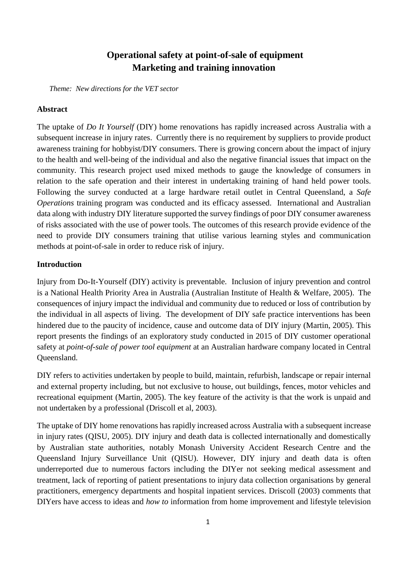# **Operational safety at point-of-sale of equipment Marketing and training innovation**

*Theme: New directions for the VET sector*

#### **Abstract**

The uptake of *Do It Yourself* (DIY) home renovations has rapidly increased across Australia with a subsequent increase in injury rates. Currently there is no requirement by suppliers to provide product awareness training for hobbyist/DIY consumers. There is growing concern about the impact of injury to the health and well-being of the individual and also the negative financial issues that impact on the community. This research project used mixed methods to gauge the knowledge of consumers in relation to the safe operation and their interest in undertaking training of hand held power tools. Following the survey conducted at a large hardware retail outlet in Central Queensland, a *Safe Operations* training program was conducted and its efficacy assessed. International and Australian data along with industry DIY literature supported the survey findings of poor DIY consumer awareness of risks associated with the use of power tools. The outcomes of this research provide evidence of the need to provide DIY consumers training that utilise various learning styles and communication methods at point-of-sale in order to reduce risk of injury.

#### **Introduction**

Injury from Do-It-Yourself (DIY) activity is preventable. Inclusion of injury prevention and control is a National Health Priority Area in Australia (Australian Institute of Health & Welfare, 2005). The consequences of injury impact the individual and community due to reduced or loss of contribution by the individual in all aspects of living. The development of DIY safe practice interventions has been hindered due to the paucity of incidence, cause and outcome data of DIY injury (Martin, 2005). This report presents the findings of an exploratory study conducted in 2015 of DIY customer operational safety at *point-of-sale of power tool equipment* at an Australian hardware company located in Central Queensland.

DIY refers to activities undertaken by people to build, maintain, refurbish, landscape or repair internal and external property including, but not exclusive to house, out buildings, fences, motor vehicles and recreational equipment (Martin, 2005). The key feature of the activity is that the work is unpaid and not undertaken by a professional (Driscoll et al, 2003).

The uptake of DIY home renovations has rapidly increased across Australia with a subsequent increase in injury rates (QISU, 2005). DIY injury and death data is collected internationally and domestically by Australian state authorities, notably Monash University Accident Research Centre and the Queensland Injury Surveillance Unit (QISU). However, DIY injury and death data is often underreported due to numerous factors including the DIYer not seeking medical assessment and treatment, lack of reporting of patient presentations to injury data collection organisations by general practitioners, emergency departments and hospital inpatient services. Driscoll (2003) comments that DIYers have access to ideas and *how to* information from home improvement and lifestyle television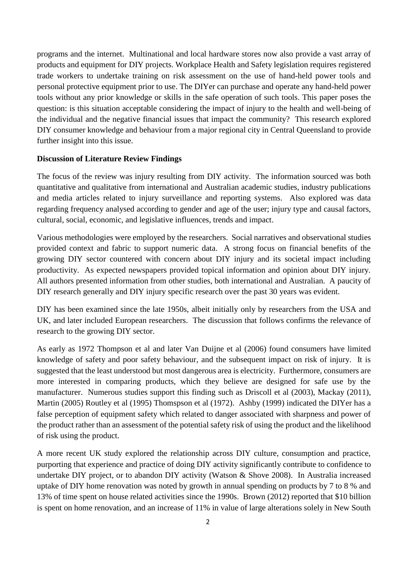programs and the internet. Multinational and local hardware stores now also provide a vast array of products and equipment for DIY projects. Workplace Health and Safety legislation requires registered trade workers to undertake training on risk assessment on the use of hand-held power tools and personal protective equipment prior to use. The DIYer can purchase and operate any hand-held power tools without any prior knowledge or skills in the safe operation of such tools. This paper poses the question: is this situation acceptable considering the impact of injury to the health and well-being of the individual and the negative financial issues that impact the community? This research explored DIY consumer knowledge and behaviour from a major regional city in Central Queensland to provide further insight into this issue.

#### **Discussion of Literature Review Findings**

 The focus of the review was injury resulting from DIY activity. The information sourced was both quantitative and qualitative from international and Australian academic studies, industry publications and media articles related to injury surveillance and reporting systems. Also explored was data regarding frequency analysed according to gender and age of the user; injury type and causal factors, cultural, social, economic, and legislative influences, trends and impact.

Various methodologies were employed by the researchers. Social narratives and observational studies provided context and fabric to support numeric data. A strong focus on financial benefits of the growing DIY sector countered with concern about DIY injury and its societal impact including productivity. As expected newspapers provided topical information and opinion about DIY injury. All authors presented information from other studies, both international and Australian. A paucity of DIY research generally and DIY injury specific research over the past 30 years was evident.

DIY has been examined since the late 1950s, albeit initially only by researchers from the USA and UK, and later included European researchers. The discussion that follows confirms the relevance of research to the growing DIY sector.

As early as 1972 Thompson et al and later Van Duijne et al (2006) found consumers have limited knowledge of safety and poor safety behaviour, and the subsequent impact on risk of injury. It is suggested that the least understood but most dangerous area is electricity. Furthermore, consumers are more interested in comparing products, which they believe are designed for safe use by the manufacturer. Numerous studies support this finding such as Driscoll et al (2003), Mackay (2011), Martin (2005) Routley et al (1995) Thomspson et al (1972). Ashby (1999) indicated the DIYer has a false perception of equipment safety which related to danger associated with sharpness and power of the product rather than an assessment of the potential safety risk of using the product and the likelihood of risk using the product.

A more recent UK study explored the relationship across DIY culture, consumption and practice, purporting that experience and practice of doing DIY activity significantly contribute to confidence to undertake DIY project, or to abandon DIY activity (Watson & Shove 2008). In Australia increased uptake of DIY home renovation was noted by growth in annual spending on products by 7 to 8 % and 13% of time spent on house related activities since the 1990s. Brown (2012) reported that \$10 billion is spent on home renovation, and an increase of 11% in value of large alterations solely in New South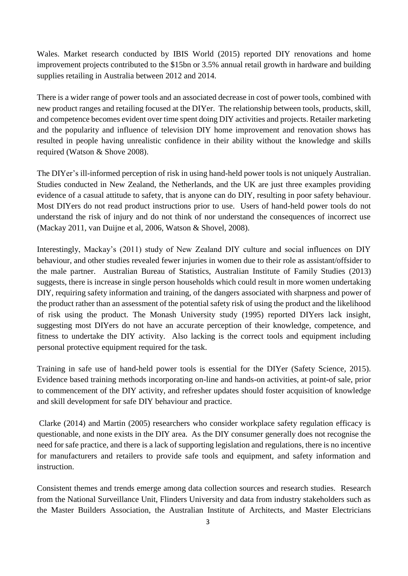Wales. Market research conducted by IBIS World (2015) reported DIY renovations and home improvement projects contributed to the \$15bn or 3.5% annual retail growth in hardware and building supplies retailing in Australia between 2012 and 2014.

There is a wider range of power tools and an associated decrease in cost of power tools, combined with new product ranges and retailing focused at the DIYer. The relationship between tools, products, skill, and competence becomes evident over time spent doing DIY activities and projects. Retailer marketing and the popularity and influence of television DIY home improvement and renovation shows has resulted in people having unrealistic confidence in their ability without the knowledge and skills required (Watson & Shove 2008).

The DIYer's ill-informed perception of risk in using hand-held power tools is not uniquely Australian. Studies conducted in New Zealand, the Netherlands, and the UK are just three examples providing evidence of a casual attitude to safety, that is anyone can do DIY, resulting in poor safety behaviour. Most DIYers do not read product instructions prior to use. Users of hand-held power tools do not understand the risk of injury and do not think of nor understand the consequences of incorrect use (Mackay 2011, van Duijne et al, 2006, Watson & Shovel, 2008).

Interestingly, Mackay's (2011) study of New Zealand DIY culture and social influences on DIY behaviour, and other studies revealed fewer injuries in women due to their role as assistant/offsider to the male partner. Australian Bureau of Statistics, Australian Institute of Family Studies (2013) suggests, there is increase in single person households which could result in more women undertaking DIY, requiring safety information and training, of the dangers associated with sharpness and power of the product rather than an assessment of the potential safety risk of using the product and the likelihood of risk using the product. The Monash University study (1995) reported DIYers lack insight, suggesting most DIYers do not have an accurate perception of their knowledge, competence, and fitness to undertake the DIY activity. Also lacking is the correct tools and equipment including personal protective equipment required for the task.

Training in safe use of hand-held power tools is essential for the DIYer (Safety Science, 2015). Evidence based training methods incorporating on-line and hands-on activities, at point-of sale, prior to commencement of the DIY activity, and refresher updates should foster acquisition of knowledge and skill development for safe DIY behaviour and practice.

Clarke (2014) and Martin (2005) researchers who consider workplace safety regulation efficacy is questionable, and none exists in the DIY area. As the DIY consumer generally does not recognise the need for safe practice, and there is a lack of supporting legislation and regulations, there is no incentive for manufacturers and retailers to provide safe tools and equipment, and safety information and instruction.

Consistent themes and trends emerge among data collection sources and research studies. Research from the National Surveillance Unit, Flinders University and data from industry stakeholders such as the Master Builders Association, the Australian Institute of Architects, and Master Electricians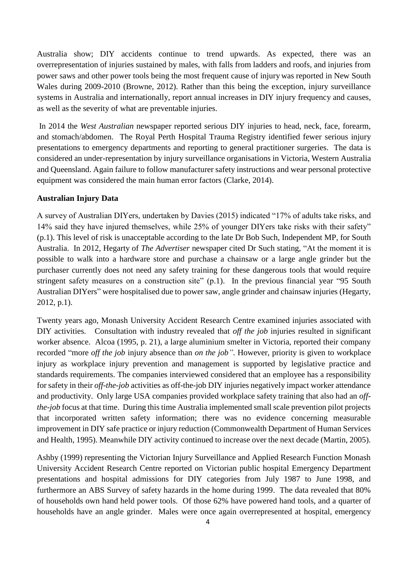Australia show; DIY accidents continue to trend upwards. As expected, there was an overrepresentation of injuries sustained by males, with falls from ladders and roofs, and injuries from power saws and other power tools being the most frequent cause of injury was reported in New South Wales during 2009-2010 (Browne, 2012). Rather than this being the exception, injury surveillance systems in Australia and internationally, report annual increases in DIY injury frequency and causes, as well as the severity of what are preventable injuries.

In 2014 the *West Australian* newspaper reported serious DIY injuries to head, neck, face, forearm, and stomach/abdomen. The Royal Perth Hospital Trauma Registry identified fewer serious injury presentations to emergency departments and reporting to general practitioner surgeries. The data is considered an under-representation by injury surveillance organisations in Victoria, Western Australia and Queensland. Again failure to follow manufacturer safety instructions and wear personal protective equipment was considered the main human error factors (Clarke, 2014).

#### **Australian Injury Data**

A survey of Australian DIYers, undertaken by Davies (2015) indicated "17% of adults take risks, and 14% said they have injured themselves, while 25% of younger DIYers take risks with their safety" (p.1). This level of risk is unacceptable according to the late Dr Bob Such, Independent MP, for South Australia. In 2012, Hegarty of *The Advertiser* newspaper cited Dr Such stating, "At the moment it is possible to walk into a hardware store and purchase a chainsaw or a large angle grinder but the purchaser currently does not need any safety training for these dangerous tools that would require stringent safety measures on a construction site" (p.1). In the previous financial year "95 South Australian DIYers" were hospitalised due to power saw, angle grinder and chainsaw injuries (Hegarty, 2012, p.1).

Twenty years ago, Monash University Accident Research Centre examined injuries associated with DIY activities. Consultation with industry revealed that *off the job* injuries resulted in significant worker absence. Alcoa (1995, p. 21), a large aluminium smelter in Victoria, reported their company recorded "more *off the job* injury absence than *on the job"*. However, priority is given to workplace injury as workplace injury prevention and management is supported by legislative practice and standards requirements. The companies interviewed considered that an employee has a responsibility for safety in their *off-the-job* activities as off-the-job DIY injuries negatively impact worker attendance and productivity. Only large USA companies provided workplace safety training that also had an *offthe-job* focus at that time. During this time Australia implemented small scale prevention pilot projects that incorporated written safety information; there was no evidence concerning measurable improvement in DIY safe practice or injury reduction (Commonwealth Department of Human Services and Health, 1995). Meanwhile DIY activity continued to increase over the next decade (Martin, 2005).

Ashby (1999) representing the Victorian Injury Surveillance and Applied Research Function Monash University Accident Research Centre reported on Victorian public hospital Emergency Department presentations and hospital admissions for DIY categories from July 1987 to June 1998, and furthermore an ABS Survey of safety hazards in the home during 1999. The data revealed that 80% of households own hand held power tools. Of those 62% have powered hand tools, and a quarter of households have an angle grinder. Males were once again overrepresented at hospital, emergency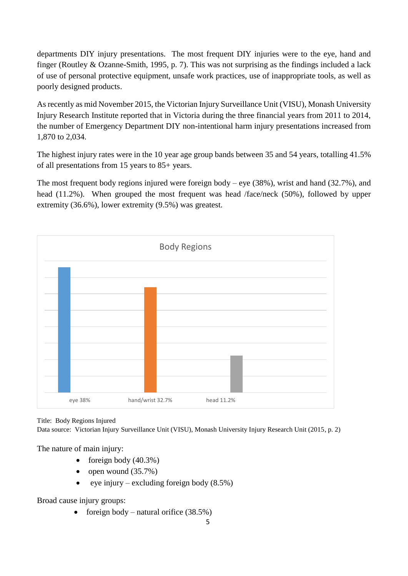departments DIY injury presentations. The most frequent DIY injuries were to the eye, hand and finger (Routley & Ozanne-Smith, 1995, p. 7). This was not surprising as the findings included a lack of use of personal protective equipment, unsafe work practices, use of inappropriate tools, as well as poorly designed products.

As recently as mid November 2015, the Victorian Injury Surveillance Unit (VISU), Monash University Injury Research Institute reported that in Victoria during the three financial years from 2011 to 2014, the number of Emergency Department DIY non-intentional harm injury presentations increased from 1,870 to 2,034.

The highest injury rates were in the 10 year age group bands between 35 and 54 years, totalling 41.5% of all presentations from 15 years to 85+ years.

The most frequent body regions injured were foreign body – eye (38%), wrist and hand (32.7%), and head (11.2%). When grouped the most frequent was head /face/neck (50%), followed by upper extremity (36.6%), lower extremity (9.5%) was greatest.



Title: Body Regions Injured

Data source: Victorian Injury Surveillance Unit (VISU), Monash University Injury Research Unit (2015, p. 2)

The nature of main injury:

- foreign body  $(40.3\%)$
- open wound  $(35.7\%)$
- eye injury excluding foreign body  $(8.5\%)$

Broad cause injury groups:

• foreign body – natural orifice  $(38.5\%)$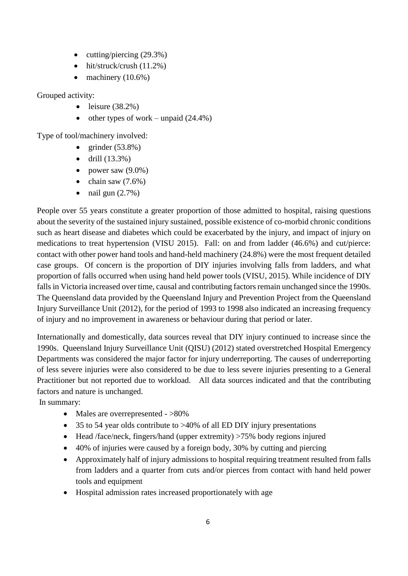- $\bullet$  cutting/piercing (29.3%)
- $\bullet$  hit/struck/crush (11.2%)
- $\bullet$  machinery (10.6%)

Grouped activity:

- leisure  $(38.2\%)$
- other types of work unpaid  $(24.4\%)$

Type of tool/machinery involved:

- grinder  $(53.8\%)$
- $\bullet$  drill (13.3%)
- power saw  $(9.0\%)$
- $\bullet$  chain saw  $(7.6\%)$
- $\bullet$  nail gun  $(2.7\%)$

People over 55 years constitute a greater proportion of those admitted to hospital, raising questions about the severity of the sustained injury sustained, possible existence of co-morbid chronic conditions such as heart disease and diabetes which could be exacerbated by the injury, and impact of injury on medications to treat hypertension (VISU 2015). Fall: on and from ladder (46.6%) and cut/pierce: contact with other power hand tools and hand-held machinery (24.8%) were the most frequent detailed case groups. Of concern is the proportion of DIY injuries involving falls from ladders, and what proportion of falls occurred when using hand held power tools (VISU, 2015). While incidence of DIY falls in Victoria increased over time, causal and contributing factors remain unchanged since the 1990s. The Queensland data provided by the Queensland Injury and Prevention Project from the Queensland Injury Surveillance Unit (2012), for the period of 1993 to 1998 also indicated an increasing frequency of injury and no improvement in awareness or behaviour during that period or later.

Internationally and domestically, data sources reveal that DIY injury continued to increase since the 1990s. Queensland Injury Surveillance Unit (QISU) (2012) stated overstretched Hospital Emergency Departments was considered the major factor for injury underreporting. The causes of underreporting of less severe injuries were also considered to be due to less severe injuries presenting to a General Practitioner but not reported due to workload. All data sources indicated and that the contributing factors and nature is unchanged.

In summary:

- Males are overrepresented  $-$  >80%
- 35 to 54 year olds contribute to >40% of all ED DIY injury presentations
- Head /face/neck, fingers/hand (upper extremity) >75% body regions injured
- 40% of injuries were caused by a foreign body, 30% by cutting and piercing
- Approximately half of injury admissions to hospital requiring treatment resulted from falls from ladders and a quarter from cuts and/or pierces from contact with hand held power tools and equipment
- Hospital admission rates increased proportionately with age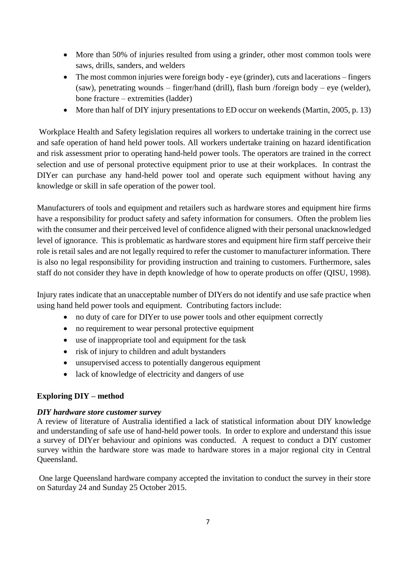- More than 50% of injuries resulted from using a grinder, other most common tools were saws, drills, sanders, and welders
- The most common injuries were foreign body eye (grinder), cuts and lacerations fingers (saw), penetrating wounds – finger/hand (drill), flash burn /foreign body – eye (welder), bone fracture – extremities (ladder)
- More than half of DIY injury presentations to ED occur on weekends (Martin, 2005, p. 13)

Workplace Health and Safety legislation requires all workers to undertake training in the correct use and safe operation of hand held power tools. All workers undertake training on hazard identification and risk assessment prior to operating hand-held power tools. The operators are trained in the correct selection and use of personal protective equipment prior to use at their workplaces. In contrast the DIYer can purchase any hand-held power tool and operate such equipment without having any knowledge or skill in safe operation of the power tool.

Manufacturers of tools and equipment and retailers such as hardware stores and equipment hire firms have a responsibility for product safety and safety information for consumers. Often the problem lies with the consumer and their perceived level of confidence aligned with their personal unacknowledged level of ignorance. This is problematic as hardware stores and equipment hire firm staff perceive their role is retail sales and are not legally required to refer the customer to manufacturer information. There is also no legal responsibility for providing instruction and training to customers. Furthermore, sales staff do not consider they have in depth knowledge of how to operate products on offer (QISU, 1998).

Injury rates indicate that an unacceptable number of DIYers do not identify and use safe practice when using hand held power tools and equipment. Contributing factors include:

- no duty of care for DIYer to use power tools and other equipment correctly
- no requirement to wear personal protective equipment
- use of inappropriate tool and equipment for the task
- risk of injury to children and adult bystanders
- unsupervised access to potentially dangerous equipment
- lack of knowledge of electricity and dangers of use

## **Exploring DIY – method**

## *DIY hardware store customer survey*

A review of literature of Australia identified a lack of statistical information about DIY knowledge and understanding of safe use of hand-held power tools. In order to explore and understand this issue a survey of DIYer behaviour and opinions was conducted. A request to conduct a DIY customer survey within the hardware store was made to hardware stores in a major regional city in Central Queensland.

One large Queensland hardware company accepted the invitation to conduct the survey in their store on Saturday 24 and Sunday 25 October 2015.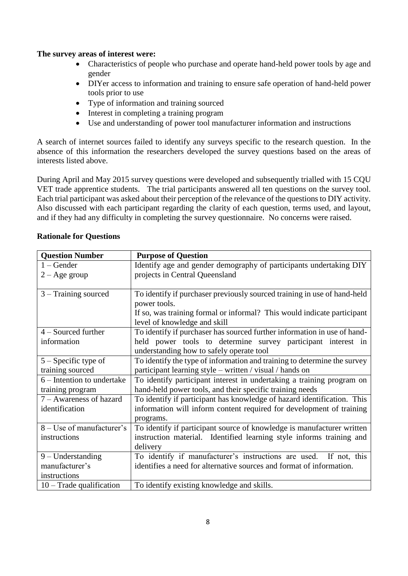### **The survey areas of interest were:**

- Characteristics of people who purchase and operate hand-held power tools by age and gender
- DIYer access to information and training to ensure safe operation of hand-held power tools prior to use
- Type of information and training sourced
- Interest in completing a training program
- Use and understanding of power tool manufacturer information and instructions

A search of internet sources failed to identify any surveys specific to the research question. In the absence of this information the researchers developed the survey questions based on the areas of interests listed above.

During April and May 2015 survey questions were developed and subsequently trialled with 15 CQU VET trade apprentice students. The trial participants answered all ten questions on the survey tool. Each trial participant was asked about their perception of the relevance of the questions to DIY activity. Also discussed with each participant regarding the clarity of each question, terms used, and layout, and if they had any difficulty in completing the survey questionnaire. No concerns were raised.

| <b>Question Number</b>     | <b>Purpose of Question</b>                                               |  |
|----------------------------|--------------------------------------------------------------------------|--|
| $1 -$ Gender               | Identify age and gender demography of participants undertaking DIY       |  |
| $2 - Age$ group            | projects in Central Queensland                                           |  |
|                            |                                                                          |  |
| $3 - Training$ sourced     | To identify if purchaser previously sourced training in use of hand-held |  |
|                            | power tools.                                                             |  |
|                            | If so, was training formal or informal? This would indicate participant  |  |
|                            | level of knowledge and skill                                             |  |
| $4 -$ Sourced further      | To identify if purchaser has sourced further information in use of hand- |  |
| information                | held power tools to determine survey participant interest in             |  |
|                            | understanding how to safely operate tool                                 |  |
| $5 -$ Specific type of     | To identify the type of information and training to determine the survey |  |
| training sourced           | participant learning style – written / visual / hands on                 |  |
| 6 – Intention to undertake | To identify participant interest in undertaking a training program on    |  |
| training program           | hand-held power tools, and their specific training needs                 |  |
| 7 – Awareness of hazard    | To identify if participant has knowledge of hazard identification. This  |  |
| identification             | information will inform content required for development of training     |  |
|                            | programs.                                                                |  |
| 8 – Use of manufacturer's  | To identify if participant source of knowledge is manufacturer written   |  |
| instructions               | instruction material. Identified learning style informs training and     |  |
|                            | delivery                                                                 |  |
| $9 -$ Understanding        | To identify if manufacturer's instructions are used. If not, this        |  |
| manufacturer's             | identifies a need for alternative sources and format of information.     |  |
| instructions               |                                                                          |  |
| 10 - Trade qualification   | To identify existing knowledge and skills.                               |  |

#### **Rationale for Questions**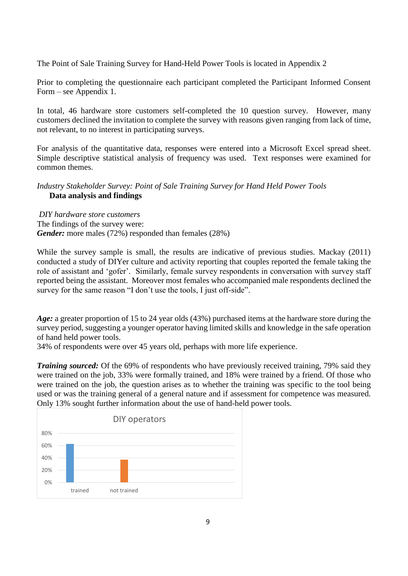The Point of Sale Training Survey for Hand-Held Power Tools is located in Appendix 2

Prior to completing the questionnaire each participant completed the Participant Informed Consent Form – see Appendix 1.

In total, 46 hardware store customers self-completed the 10 question survey. However, many customers declined the invitation to complete the survey with reasons given ranging from lack of time, not relevant, to no interest in participating surveys.

For analysis of the quantitative data, responses were entered into a Microsoft Excel spread sheet. Simple descriptive statistical analysis of frequency was used. Text responses were examined for common themes.

## *Industry Stakeholder Survey: Point of Sale Training Survey for Hand Held Power Tools* **Data analysis and findings**

*DIY hardware store customers* The findings of the survey were: *Gender:* more males (72%) responded than females (28%)

While the survey sample is small, the results are indicative of previous studies. Mackay (2011) conducted a study of DIYer culture and activity reporting that couples reported the female taking the role of assistant and 'gofer'. Similarly, female survey respondents in conversation with survey staff reported being the assistant. Moreover most females who accompanied male respondents declined the survey for the same reason "I don't use the tools, I just off-side".

*Age:* a greater proportion of 15 to 24 year olds (43%) purchased items at the hardware store during the survey period, suggesting a younger operator having limited skills and knowledge in the safe operation of hand held power tools.

34% of respondents were over 45 years old, perhaps with more life experience.

*Training sourced:* Of the 69% of respondents who have previously received training, 79% said they were trained on the job, 33% were formally trained, and 18% were trained by a friend. Of those who were trained on the job, the question arises as to whether the training was specific to the tool being used or was the training general of a general nature and if assessment for competence was measured. Only 13% sought further information about the use of hand-held power tools.

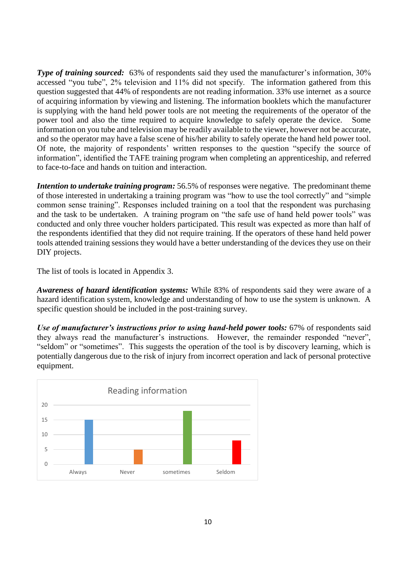*Type of training sourced:* 63% of respondents said they used the manufacturer's information, 30% accessed "you tube", 2% television and 11% did not specify. The information gathered from this question suggested that 44% of respondents are not reading information. 33% use internet as a source of acquiring information by viewing and listening. The information booklets which the manufacturer is supplying with the hand held power tools are not meeting the requirements of the operator of the power tool and also the time required to acquire knowledge to safely operate the device. Some information on you tube and television may be readily available to the viewer, however not be accurate, and so the operator may have a false scene of his/her ability to safely operate the hand held power tool. Of note, the majority of respondents' written responses to the question "specify the source of information", identified the TAFE training program when completing an apprenticeship, and referred to face-to-face and hands on tuition and interaction.

*Intention to undertake training program:* 56.5% of responses were negative. The predominant theme of those interested in undertaking a training program was "how to use the tool correctly" and "simple common sense training". Responses included training on a tool that the respondent was purchasing and the task to be undertaken. A training program on "the safe use of hand held power tools" was conducted and only three voucher holders participated. This result was expected as more than half of the respondents identified that they did not require training. If the operators of these hand held power tools attended training sessions they would have a better understanding of the devices they use on their DIY projects.

The list of tools is located in Appendix 3.

*Awareness of hazard identification systems:* While 83% of respondents said they were aware of a hazard identification system, knowledge and understanding of how to use the system is unknown. A specific question should be included in the post-training survey.

*Use of manufacturer's instructions prior to using hand-held power tools:* 67% of respondents said they always read the manufacturer's instructions. However, the remainder responded "never", "seldom" or "sometimes". This suggests the operation of the tool is by discovery learning, which is potentially dangerous due to the risk of injury from incorrect operation and lack of personal protective equipment.

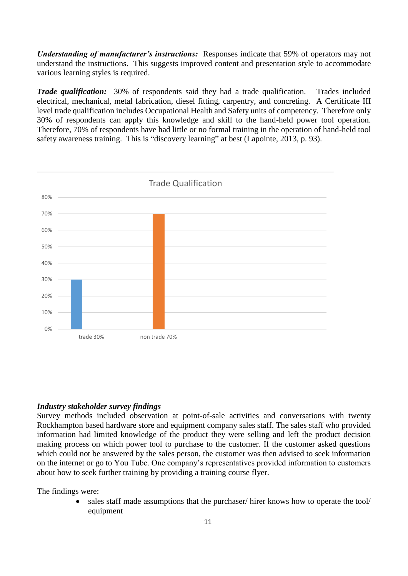*Understanding of manufacturer's instructions:* Responses indicate that 59% of operators may not understand the instructions. This suggests improved content and presentation style to accommodate various learning styles is required.

*Trade qualification:* 30% of respondents said they had a trade qualification. Trades included electrical, mechanical, metal fabrication, diesel fitting, carpentry, and concreting. A Certificate III level trade qualification includes Occupational Health and Safety units of competency. Therefore only 30% of respondents can apply this knowledge and skill to the hand-held power tool operation. Therefore, 70% of respondents have had little or no formal training in the operation of hand-held tool safety awareness training. This is "discovery learning" at best (Lapointe, 2013, p. 93).



#### *Industry stakeholder survey findings*

Survey methods included observation at point-of-sale activities and conversations with twenty Rockhampton based hardware store and equipment company sales staff. The sales staff who provided information had limited knowledge of the product they were selling and left the product decision making process on which power tool to purchase to the customer. If the customer asked questions which could not be answered by the sales person, the customer was then advised to seek information on the internet or go to You Tube. One company's representatives provided information to customers about how to seek further training by providing a training course flyer.

The findings were:

 sales staff made assumptions that the purchaser/ hirer knows how to operate the tool/ equipment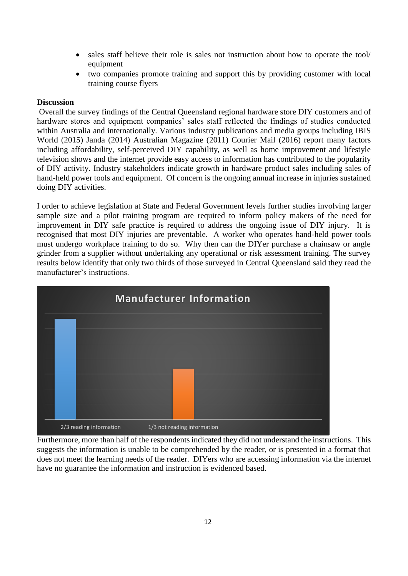- sales staff believe their role is sales not instruction about how to operate the tool/ equipment
- two companies promote training and support this by providing customer with local training course flyers

### **Discussion**

Overall the survey findings of the Central Queensland regional hardware store DIY customers and of hardware stores and equipment companies' sales staff reflected the findings of studies conducted within Australia and internationally. Various industry publications and media groups including IBIS World (2015) Janda (2014) Australian Magazine (2011) Courier Mail (2016) report many factors including affordability, self-perceived DIY capability, as well as home improvement and lifestyle television shows and the internet provide easy access to information has contributed to the popularity of DIY activity. Industry stakeholders indicate growth in hardware product sales including sales of hand-held power tools and equipment. Of concern is the ongoing annual increase in injuries sustained doing DIY activities.

I order to achieve legislation at State and Federal Government levels further studies involving larger sample size and a pilot training program are required to inform policy makers of the need for improvement in DIY safe practice is required to address the ongoing issue of DIY injury. It is recognised that most DIY injuries are preventable. A worker who operates hand-held power tools must undergo workplace training to do so. Why then can the DIYer purchase a chainsaw or angle grinder from a supplier without undertaking any operational or risk assessment training. The survey results below identify that only two thirds of those surveyed in Central Queensland said they read the manufacturer's instructions.



Furthermore, more than half of the respondents indicated they did not understand the instructions. This suggests the information is unable to be comprehended by the reader, or is presented in a format that does not meet the learning needs of the reader. DIYers who are accessing information via the internet have no guarantee the information and instruction is evidenced based.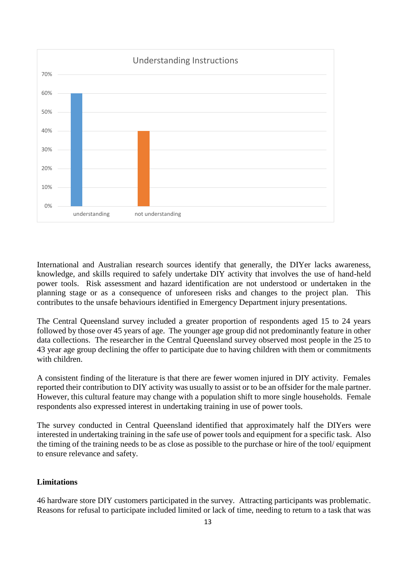

International and Australian research sources identify that generally, the DIYer lacks awareness, knowledge, and skills required to safely undertake DIY activity that involves the use of hand-held power tools. Risk assessment and hazard identification are not understood or undertaken in the planning stage or as a consequence of unforeseen risks and changes to the project plan. This contributes to the unsafe behaviours identified in Emergency Department injury presentations.

The Central Queensland survey included a greater proportion of respondents aged 15 to 24 years followed by those over 45 years of age. The younger age group did not predominantly feature in other data collections. The researcher in the Central Queensland survey observed most people in the 25 to 43 year age group declining the offer to participate due to having children with them or commitments with children.

A consistent finding of the literature is that there are fewer women injured in DIY activity. Females reported their contribution to DIY activity was usually to assist or to be an offsider for the male partner. However, this cultural feature may change with a population shift to more single households. Female respondents also expressed interest in undertaking training in use of power tools.

The survey conducted in Central Queensland identified that approximately half the DIYers were interested in undertaking training in the safe use of power tools and equipment for a specific task. Also the timing of the training needs to be as close as possible to the purchase or hire of the tool/ equipment to ensure relevance and safety.

## **Limitations**

46 hardware store DIY customers participated in the survey. Attracting participants was problematic. Reasons for refusal to participate included limited or lack of time, needing to return to a task that was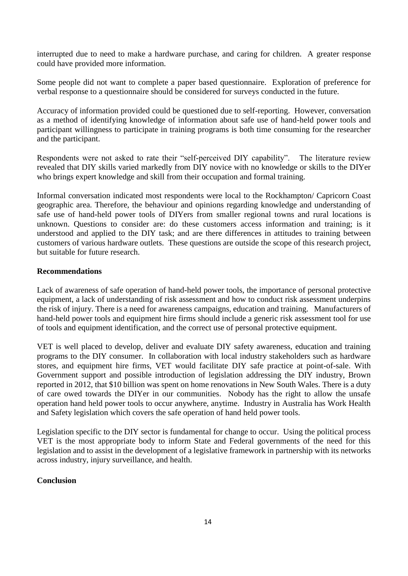interrupted due to need to make a hardware purchase, and caring for children. A greater response could have provided more information.

Some people did not want to complete a paper based questionnaire. Exploration of preference for verbal response to a questionnaire should be considered for surveys conducted in the future.

Accuracy of information provided could be questioned due to self-reporting. However, conversation as a method of identifying knowledge of information about safe use of hand-held power tools and participant willingness to participate in training programs is both time consuming for the researcher and the participant.

Respondents were not asked to rate their "self-perceived DIY capability". The literature review revealed that DIY skills varied markedly from DIY novice with no knowledge or skills to the DIYer who brings expert knowledge and skill from their occupation and formal training.

Informal conversation indicated most respondents were local to the Rockhampton/ Capricorn Coast geographic area. Therefore, the behaviour and opinions regarding knowledge and understanding of safe use of hand-held power tools of DIYers from smaller regional towns and rural locations is unknown. Questions to consider are: do these customers access information and training; is it understood and applied to the DIY task; and are there differences in attitudes to training between customers of various hardware outlets. These questions are outside the scope of this research project, but suitable for future research.

## **Recommendations**

Lack of awareness of safe operation of hand-held power tools, the importance of personal protective equipment, a lack of understanding of risk assessment and how to conduct risk assessment underpins the risk of injury. There is a need for awareness campaigns, education and training. Manufacturers of hand-held power tools and equipment hire firms should include a generic risk assessment tool for use of tools and equipment identification, and the correct use of personal protective equipment.

VET is well placed to develop, deliver and evaluate DIY safety awareness, education and training programs to the DIY consumer. In collaboration with local industry stakeholders such as hardware stores, and equipment hire firms, VET would facilitate DIY safe practice at point-of-sale. With Government support and possible introduction of legislation addressing the DIY industry, Brown reported in 2012, that \$10 billion was spent on home renovations in New South Wales. There is a duty of care owed towards the DIYer in our communities. Nobody has the right to allow the unsafe operation hand held power tools to occur anywhere, anytime. Industry in Australia has Work Health and Safety legislation which covers the safe operation of hand held power tools.

Legislation specific to the DIY sector is fundamental for change to occur. Using the political process VET is the most appropriate body to inform State and Federal governments of the need for this legislation and to assist in the development of a legislative framework in partnership with its networks across industry, injury surveillance, and health.

## **Conclusion**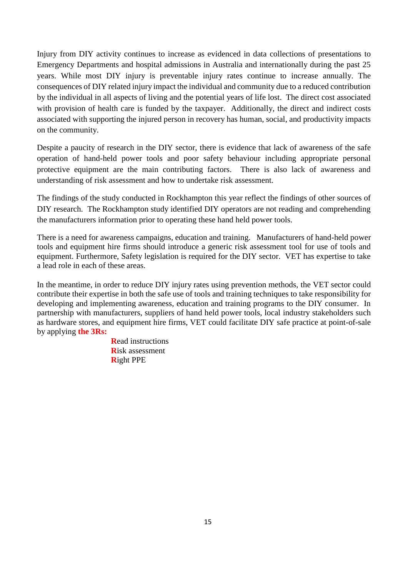Injury from DIY activity continues to increase as evidenced in data collections of presentations to Emergency Departments and hospital admissions in Australia and internationally during the past 25 years. While most DIY injury is preventable injury rates continue to increase annually. The consequences of DIY related injury impact the individual and community due to a reduced contribution by the individual in all aspects of living and the potential years of life lost. The direct cost associated with provision of health care is funded by the taxpayer. Additionally, the direct and indirect costs associated with supporting the injured person in recovery has human, social, and productivity impacts on the community.

Despite a paucity of research in the DIY sector, there is evidence that lack of awareness of the safe operation of hand-held power tools and poor safety behaviour including appropriate personal protective equipment are the main contributing factors. There is also lack of awareness and understanding of risk assessment and how to undertake risk assessment.

The findings of the study conducted in Rockhampton this year reflect the findings of other sources of DIY research. The Rockhampton study identified DIY operators are not reading and comprehending the manufacturers information prior to operating these hand held power tools.

There is a need for awareness campaigns, education and training. Manufacturers of hand-held power tools and equipment hire firms should introduce a generic risk assessment tool for use of tools and equipment. Furthermore, Safety legislation is required for the DIY sector. VET has expertise to take a lead role in each of these areas.

In the meantime, in order to reduce DIY injury rates using prevention methods, the VET sector could contribute their expertise in both the safe use of tools and training techniques to take responsibility for developing and implementing awareness, education and training programs to the DIY consumer. In partnership with manufacturers, suppliers of hand held power tools, local industry stakeholders such as hardware stores, and equipment hire firms, VET could facilitate DIY safe practice at point-of-sale by applying **the 3Rs:**

> **R**ead instructions **R**isk assessment **R**ight PPE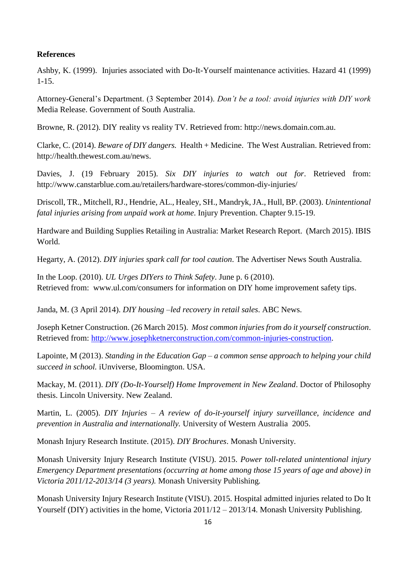#### **References**

Ashby, K. (1999). Injuries associated with Do-It-Yourself maintenance activities. Hazard 41 (1999) 1-15.

Attorney-General's Department. (3 September 2014). *Don't be a tool: avoid injuries with DIY work* Media Release. Government of South Australia.

Browne, R. (2012). DIY reality vs reality TV. Retrieved from: http://news.domain.com.au.

Clarke, C. (2014). *Beware of DIY dangers.* Health + Medicine. The West Australian. Retrieved from: http://health.thewest.com.au/news.

Davies, J. (19 February 2015). *Six DIY injuries to watch out for*. Retrieved from: http://www.canstarblue.com.au/retailers/hardware-stores/common-diy-injuries/

Driscoll, TR., Mitchell, RJ., Hendrie, AL., Healey, SH., Mandryk, JA., Hull, BP. (2003). *Unintentional fatal injuries arising from unpaid work at home*. Injury Prevention. Chapter 9.15-19.

Hardware and Building Supplies Retailing in Australia: Market Research Report. (March 2015). IBIS World.

Hegarty, A. (2012). *DIY injuries spark call for tool caution*. The Advertiser News South Australia.

In the Loop. (2010). *UL Urges DIYers to Think Safety*. June p. 6 (2010). Retrieved from: www.ul.com/consumers for information on DIY home improvement safety tips.

Janda, M. (3 April 2014). *DIY housing –led recovery in retail sales*. ABC News.

Joseph Ketner Construction. (26 March 2015). *Most common injuries from do it yourself construction*. Retrieved from: [http://www.josephketnerconstruction.com/common-injuries-construction.](http://www.josephketnerconstruction.com/common-injuries-construction)

Lapointe, M (2013). *Standing in the Education Gap – a common sense approach to helping your child succeed in school.* iUnviverse, Bloomington. USA.

Mackay, M. (2011). *DIY (Do-It-Yourself) Home Improvement in New Zealand*. Doctor of Philosophy thesis. Lincoln University. New Zealand.

Martin, L. (2005). *DIY Injuries – A review of do-it-yourself injury surveillance, incidence and prevention in Australia and internationally.* University of Western Australia 2005.

Monash Injury Research Institute. (2015). *DIY Brochures*. Monash University.

Monash University Injury Research Institute (VISU). 2015. *Power toll-related unintentional injury Emergency Department presentations (occurring at home among those 15 years of age and above) in Victoria 2011/12-2013/14 (3 years).* Monash University Publishing*.* 

Monash University Injury Research Institute (VISU). 2015. Hospital admitted injuries related to Do It Yourself (DIY) activities in the home, Victoria 2011/12 – 2013/14. Monash University Publishing.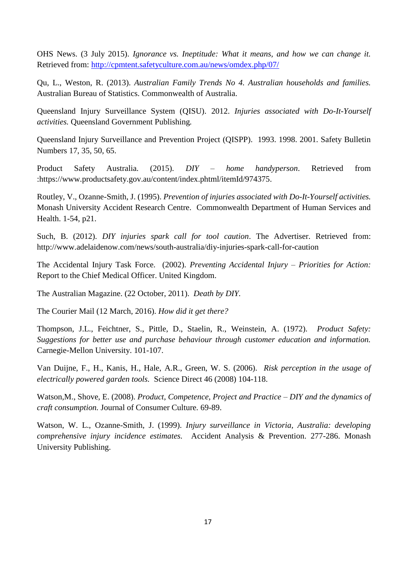OHS News. (3 July 2015). *Ignorance vs. Ineptitude: What it means, and how we can change it.* Retrieved from:<http://cpmtent.safetyculture.com.au/news/omdex.php/07/>

Qu, L., Weston, R. (2013). *Australian Family Trends No 4. Australian households and families.* Australian Bureau of Statistics. Commonwealth of Australia.

Queensland Injury Surveillance System (QISU). 2012. *Injuries associated with Do-It-Yourself activities.* Queensland Government Publishing*.*

Queensland Injury Surveillance and Prevention Project (QISPP). 1993. 1998. 2001. Safety Bulletin Numbers 17, 35, 50, 65.

Product Safety Australia. (2015). *DIY – home handyperson*. Retrieved from :https://www.productsafety.gov.au/content/index.phtml/itemId/974375.

Routley, V., Ozanne-Smith, J. (1995). *Prevention of injuries associated with Do-It-Yourself activities.*  Monash University Accident Research Centre. Commonwealth Department of Human Services and Health. 1-54, p21.

Such, B. (2012). *DIY injuries spark call for tool caution*. The Advertiser. Retrieved from: http://www.adelaidenow.com/news/south-australia/diy-injuries-spark-call-for-caution

The Accidental Injury Task Force. (2002). *Preventing Accidental Injury – Priorities for Action:* Report to the Chief Medical Officer. United Kingdom.

The Australian Magazine. (22 October, 2011). *Death by DIY.*

The Courier Mail (12 March, 2016). *How did it get there?*

Thompson, J.L., Feichtner, S., Pittle, D., Staelin, R., Weinstein, A. (1972). *Product Safety: Suggestions for better use and purchase behaviour through customer education and information.* Carnegie-Mellon University. 101-107.

Van Duijne, F., H., Kanis, H., Hale, A.R., Green, W. S. (2006). *Risk perception in the usage of electrically powered garden tools.* Science Direct 46 (2008) 104-118.

Watson,M., Shove, E. (2008). *Product, Competence, Project and Practice – DIY and the dynamics of craft consumption.* Journal of Consumer Culture. 69-89.

Watson, W. L., Ozanne-Smith, J. (1999). *Injury surveillance in Victoria, Australia: developing comprehensive injury incidence estimates.* Accident Analysis & Prevention. 277-286. Monash University Publishing.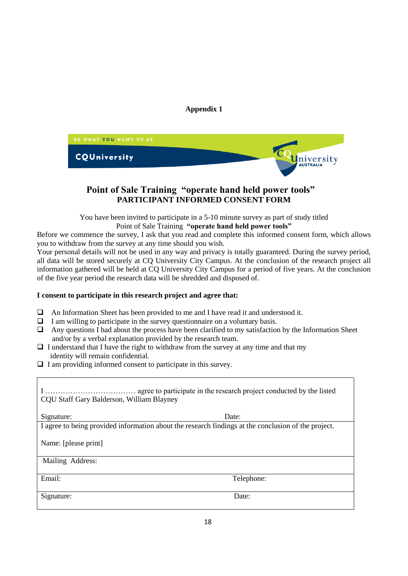### **Appendix 1**



# **Point of Sale Training "operate hand held power tools" PARTICIPANT INFORMED CONSENT FORM**

You have been invited to participate in a 5-10 minute survey as part of study titled Point of Sale Training **"operate hand held power tools"**

Before we commence the survey, I ask that you read and complete this informed consent form, which allows you to withdraw from the survey at any time should you wish.

Your personal details will not be used in any way and privacy is totally guaranteed. During the survey period, all data will be stored securely at CQ University City Campus. At the conclusion of the research project all information gathered will be held at CQ University City Campus for a period of five years. At the conclusion of the five year period the research data will be shredded and disposed of.

#### **I consent to participate in this research project and agree that:**

- $\Box$  An Information Sheet has been provided to me and I have read it and understood it.
- $\Box$  I am willing to participate in the survey questionnaire on a voluntary basis.
- $\Box$  Any questions I had about the process have been clarified to my satisfaction by the Information Sheet and/or by a verbal explanation provided by the research team.
- $\Box$  I understand that I have the right to withdraw from the survey at any time and that my identity will remain confidential.
- $\Box$  I am providing informed consent to participate in this survey.

| CQU Staff Gary Balderson, William Blayney                                                           |            |
|-----------------------------------------------------------------------------------------------------|------------|
| Signature:                                                                                          | Date:      |
| I agree to being provided information about the research findings at the conclusion of the project. |            |
| Name: [please print]                                                                                |            |
| Mailing Address:                                                                                    |            |
| Email:                                                                                              | Telephone: |
|                                                                                                     |            |
| Signature:                                                                                          | Date:      |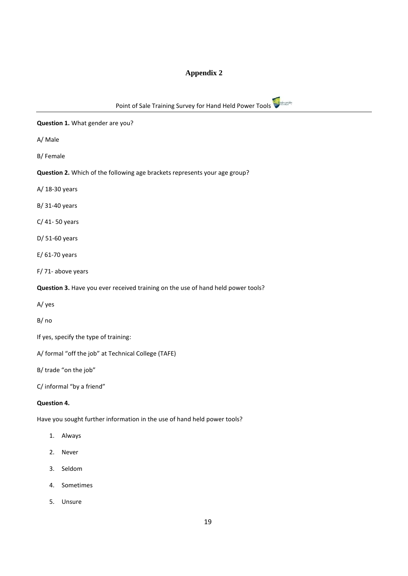# **Appendix 2**

| C University<br>Point of Sale Training Survey for Hand Held Power Tools          |
|----------------------------------------------------------------------------------|
| Question 1. What gender are you?                                                 |
| A/ Male                                                                          |
| B/Female                                                                         |
| Question 2. Which of the following age brackets represents your age group?       |
| A/ 18-30 years                                                                   |
| B/ 31-40 years                                                                   |
| C/ 41-50 years                                                                   |
| D/ 51-60 years                                                                   |
| $E/61-70$ years                                                                  |
| F/71-above years                                                                 |
| Question 3. Have you ever received training on the use of hand held power tools? |
| A/yes                                                                            |
| B/no                                                                             |
| If yes, specify the type of training:                                            |
| A/ formal "off the job" at Technical College (TAFE)                              |
| B/ trade "on the job"                                                            |
| C/ informal "by a friend"                                                        |
|                                                                                  |

## **Question 4.**

Have you sought further information in the use of hand held power tools?

- 1. Always
- 2. Never
- 3. Seldom
- 4. Sometimes
- 5. Unsure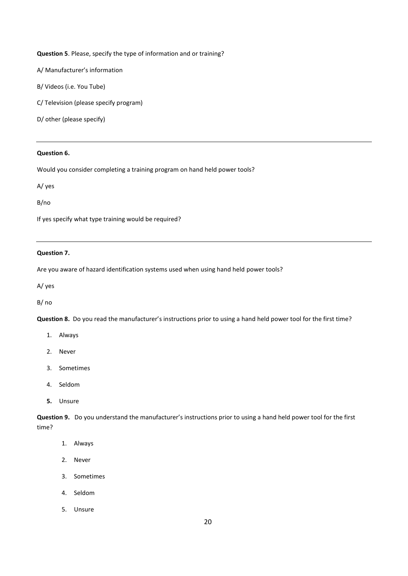#### **Question 5**. Please, specify the type of information and or training?

A/ Manufacturer's information

B/ Videos (i.e. You Tube)

C/ Television (please specify program)

D/ other (please specify)

#### **Question 6.**

Would you consider completing a training program on hand held power tools?

A/ yes

B/no

If yes specify what type training would be required?

#### **Question 7.**

Are you aware of hazard identification systems used when using hand held power tools?

A/ yes

B/ no

**Question 8.** Do you read the manufacturer's instructions prior to using a hand held power tool for the first time?

- 1. Always
- 2. Never
- 3. Sometimes
- 4. Seldom
- **5.** Unsure

**Question 9.** Do you understand the manufacturer's instructions prior to using a hand held power tool for the first time?

- 1. Always
- 2. Never
- 3. Sometimes
- 4. Seldom
- 5. Unsure